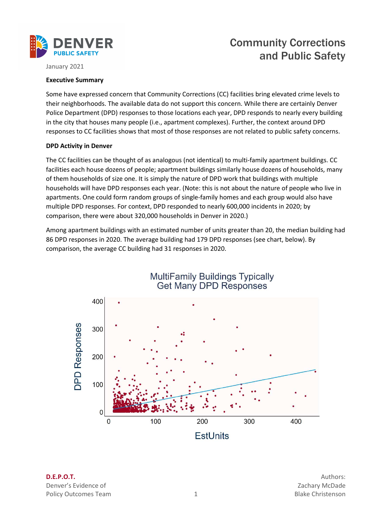

# Community Corrections and Public Safety

January 2021

### Executive Summary

 Some have expressed concern that Community Corrections (CC) facilities bring elevated crime levels to their neighborhoods. The available data do not support this concern. While there are certainly Denver Police Department (DPD) responses to those locations each year, DPD responds to nearly every building in the city that houses many people (i.e., apartment complexes). Further, the context around DPD responses to CC facilities shows that most of those responses are not related to public safety concerns.

### DPD Activity in Denver

 The CC facilities can be thought of as analogous (not identical) to multi-family apartment buildings. CC facilities each house dozens of people; apartment buildings similarly house dozens of households, many of them households of size one. It is simply the nature of DPD work that buildings with multiple households will have DPD responses each year. (Note: this is not about the nature of people who live in apartments. One could form random groups of single-family homes and each group would also have multiple DPD responses. For context, DPD responded to nearly 600,000 incidents in 2020; by comparison, there were about 320,000 households in Denver in 2020.)

 Among apartment buildings with an estimated number of units greater than 20, the median building had 86 DPD responses in 2020. The average building had 179 DPD responses (see chart, below). By comparison, the average CC building had 31 responses in 2020.



Denver's Evidence of **Zachary McDade Zachary McDade** Policy Outcomes Team and the control of the state of the Blake Christenson **D.E.P.O.T.** Authors: